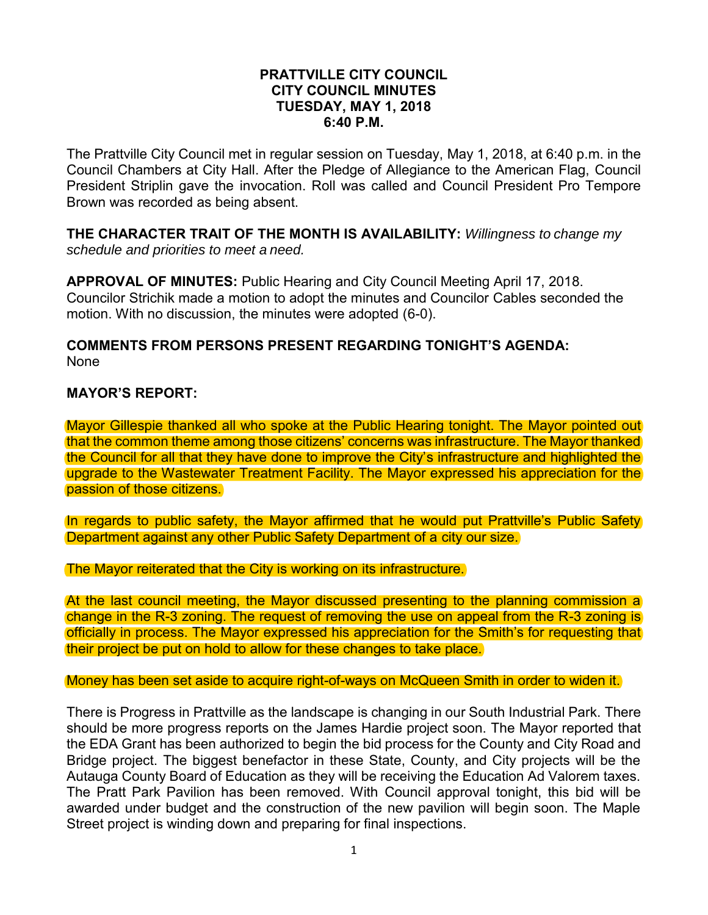#### **PRATTVILLE CITY COUNCIL CITY COUNCIL MINUTES TUESDAY, MAY 1, 2018 6:40 P.M.**

The Prattville City Council met in regular session on Tuesday, May 1, 2018, at 6:40 p.m. in the Council Chambers at City Hall. After the Pledge of Allegiance to the American Flag, Council President Striplin gave the invocation. Roll was called and Council President Pro Tempore Brown was recorded as being absent.

**THE CHARACTER TRAIT OF THE MONTH IS AVAILABILITY:** *Willingness to change my schedule and priorities to meet a need.* 

**APPROVAL OF MINUTES:** Public Hearing and City Council Meeting April 17, 2018. Councilor Strichik made a motion to adopt the minutes and Councilor Cables seconded the motion. With no discussion, the minutes were adopted (6-0).

### **COMMENTS FROM PERSONS PRESENT REGARDING TONIGHT'S AGENDA:**  None

## **MAYOR'S REPORT:**

Mayor Gillespie thanked all who spoke at the Public Hearing tonight. The Mayor pointed out that the common theme among those citizens' concerns was infrastructure. The Mayor thanked the Council for all that they have done to improve the City's infrastructure and highlighted the upgrade to the Wastewater Treatment Facility. The Mayor expressed his appreciation for the passion of those citizens.

In regards to public safety, the Mayor affirmed that he would put Prattville's Public Safety Department against any other Public Safety Department of a city our size.

The Mayor reiterated that the City is working on its infrastructure.

At the last council meeting, the Mayor discussed presenting to the planning commission a change in the R-3 zoning. The request of removing the use on appeal from the R-3 zoning is officially in process. The Mayor expressed his appreciation for the Smith's for requesting that their project be put on hold to allow for these changes to take place.

#### Money has been set aside to acquire right-of-ways on McQueen Smith in order to widen it.

There is Progress in Prattville as the landscape is changing in our South Industrial Park. There should be more progress reports on the James Hardie project soon. The Mayor reported that the EDA Grant has been authorized to begin the bid process for the County and City Road and Bridge project. The biggest benefactor in these State, County, and City projects will be the Autauga County Board of Education as they will be receiving the Education Ad Valorem taxes. The Pratt Park Pavilion has been removed. With Council approval tonight, this bid will be awarded under budget and the construction of the new pavilion will begin soon. The Maple Street project is winding down and preparing for final inspections.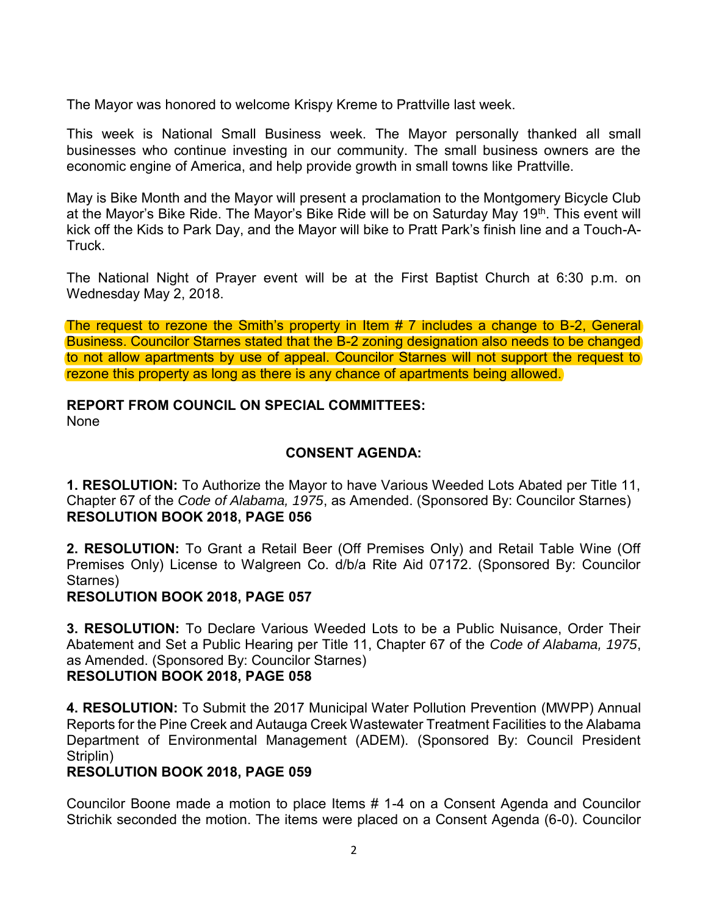The Mayor was honored to welcome Krispy Kreme to Prattville last week.

This week is National Small Business week. The Mayor personally thanked all small businesses who continue investing in our community. The small business owners are the economic engine of America, and help provide growth in small towns like Prattville.

May is Bike Month and the Mayor will present a proclamation to the Montgomery Bicycle Club at the Mayor's Bike Ride. The Mayor's Bike Ride will be on Saturday May 19<sup>th</sup>. This event will kick off the Kids to Park Day, and the Mayor will bike to Pratt Park's finish line and a Touch-A-Truck.

The National Night of Prayer event will be at the First Baptist Church at 6:30 p.m. on Wednesday May 2, 2018.

The request to rezone the Smith's property in Item # 7 includes a change to B-2, General Business. Councilor Starnes stated that the B-2 zoning designation also needs to be changed to not allow apartments by use of appeal. Councilor Starnes will not support the request to rezone this property as long as there is any chance of apartments being allowed.

# **REPORT FROM COUNCIL ON SPECIAL COMMITTEES:**

None

# **CONSENT AGENDA:**

**1. RESOLUTION:** To Authorize the Mayor to have Various Weeded Lots Abated per Title 11, Chapter 67 of the *Code of Alabama, 1975*, as Amended. (Sponsored By: Councilor Starnes) **RESOLUTION BOOK 2018, PAGE 056**

**2. RESOLUTION:** To Grant a Retail Beer (Off Premises Only) and Retail Table Wine (Off Premises Only) License to Walgreen Co. d/b/a Rite Aid 07172. (Sponsored By: Councilor Starnes)

## **RESOLUTION BOOK 2018, PAGE 057**

**3. RESOLUTION:** To Declare Various Weeded Lots to be a Public Nuisance, Order Their Abatement and Set a Public Hearing per Title 11, Chapter 67 of the *Code of Alabama, 1975*, as Amended. (Sponsored By: Councilor Starnes)

## **RESOLUTION BOOK 2018, PAGE 058**

**4. RESOLUTION:** To Submit the 2017 Municipal Water Pollution Prevention (MWPP) Annual Reports for the Pine Creek and Autauga Creek Wastewater Treatment Facilities to the Alabama Department of Environmental Management (ADEM). (Sponsored By: Council President Striplin)

## **RESOLUTION BOOK 2018, PAGE 059**

Councilor Boone made a motion to place Items # 1-4 on a Consent Agenda and Councilor Strichik seconded the motion. The items were placed on a Consent Agenda (6-0). Councilor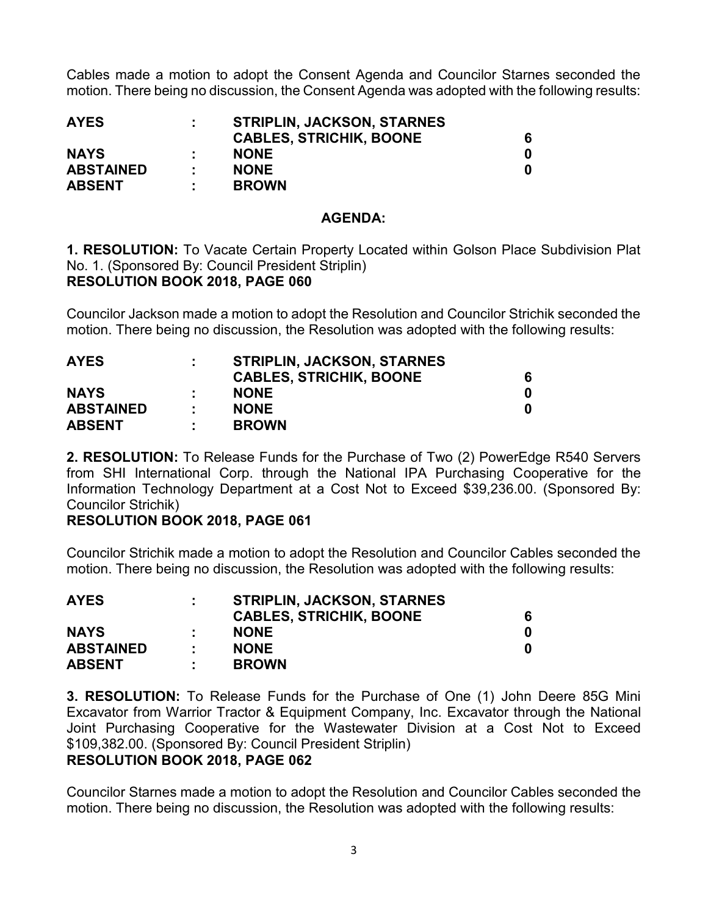Cables made a motion to adopt the Consent Agenda and Councilor Starnes seconded the motion. There being no discussion, the Consent Agenda was adopted with the following results:

| <b>AYES</b>      |    | <b>STRIPLIN, JACKSON, STARNES</b> |  |
|------------------|----|-----------------------------------|--|
|                  |    | <b>CABLES, STRICHIK, BOONE</b>    |  |
| <b>NAYS</b>      |    | <b>NONE</b>                       |  |
| <b>ABSTAINED</b> | ж. | <b>NONE</b>                       |  |
| <b>ABSENT</b>    | л. | <b>BROWN</b>                      |  |

#### **AGENDA:**

**1. RESOLUTION:** To Vacate Certain Property Located within Golson Place Subdivision Plat No. 1. (Sponsored By: Council President Striplin) **RESOLUTION BOOK 2018, PAGE 060**

Councilor Jackson made a motion to adopt the Resolution and Councilor Strichik seconded the motion. There being no discussion, the Resolution was adopted with the following results:

| <b>AYES</b>      |    | <b>STRIPLIN, JACKSON, STARNES</b> |  |  |  |
|------------------|----|-----------------------------------|--|--|--|
|                  |    | <b>CABLES, STRICHIK, BOONE</b>    |  |  |  |
| <b>NAYS</b>      |    | <b>NONE</b>                       |  |  |  |
| <b>ABSTAINED</b> |    | <b>NONE</b>                       |  |  |  |
| <b>ABSENT</b>    | ٠. | <b>BROWN</b>                      |  |  |  |

**2. RESOLUTION:** To Release Funds for the Purchase of Two (2) PowerEdge R540 Servers from SHI International Corp. through the National IPA Purchasing Cooperative for the Information Technology Department at a Cost Not to Exceed \$39,236.00. (Sponsored By: Councilor Strichik)

## **RESOLUTION BOOK 2018, PAGE 061**

Councilor Strichik made a motion to adopt the Resolution and Councilor Cables seconded the motion. There being no discussion, the Resolution was adopted with the following results:

| <b>AYES</b>      |    | <b>STRIPLIN, JACKSON, STARNES</b> |  |
|------------------|----|-----------------------------------|--|
|                  |    | <b>CABLES, STRICHIK, BOONE</b>    |  |
| <b>NAYS</b>      |    | <b>NONE</b>                       |  |
| <b>ABSTAINED</b> | ж. | <b>NONE</b>                       |  |
| <b>ABSENT</b>    | л. | <b>BROWN</b>                      |  |

**3. RESOLUTION:** To Release Funds for the Purchase of One (1) John Deere 85G Mini Excavator from Warrior Tractor & Equipment Company, Inc. Excavator through the National Joint Purchasing Cooperative for the Wastewater Division at a Cost Not to Exceed \$109,382.00. (Sponsored By: Council President Striplin)

## **RESOLUTION BOOK 2018, PAGE 062**

Councilor Starnes made a motion to adopt the Resolution and Councilor Cables seconded the motion. There being no discussion, the Resolution was adopted with the following results: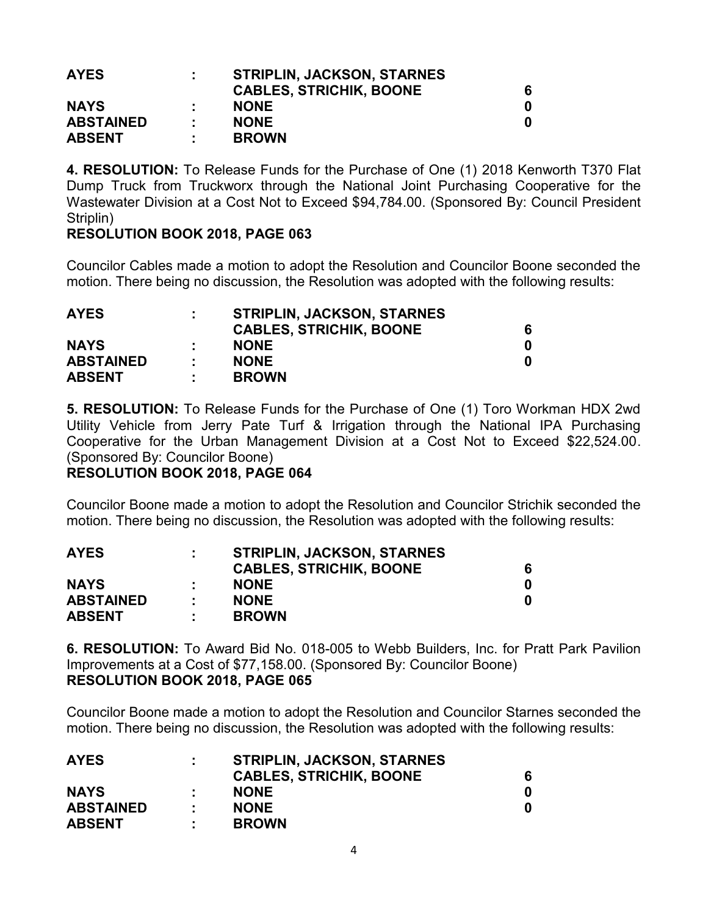| <b>AYES</b>      |   | <b>STRIPLIN, JACKSON, STARNES</b> |   |
|------------------|---|-----------------------------------|---|
|                  |   | <b>CABLES, STRICHIK, BOONE</b>    | 6 |
| <b>NAYS</b>      |   | <b>NONE</b>                       |   |
| <b>ABSTAINED</b> |   | <b>NONE</b>                       |   |
| <b>ABSENT</b>    | ÷ | <b>BROWN</b>                      |   |

**4. RESOLUTION:** To Release Funds for the Purchase of One (1) 2018 Kenworth T370 Flat Dump Truck from Truckworx through the National Joint Purchasing Cooperative for the Wastewater Division at a Cost Not to Exceed \$94,784.00. (Sponsored By: Council President Striplin)

## **RESOLUTION BOOK 2018, PAGE 063**

Councilor Cables made a motion to adopt the Resolution and Councilor Boone seconded the motion. There being no discussion, the Resolution was adopted with the following results:

| <b>AYES</b>      | ÷  | <b>STRIPLIN, JACKSON, STARNES</b> |  |
|------------------|----|-----------------------------------|--|
|                  |    | <b>CABLES, STRICHIK, BOONE</b>    |  |
| <b>NAYS</b>      |    | <b>NONE</b>                       |  |
| <b>ABSTAINED</b> | л. | <b>NONE</b>                       |  |
| <b>ABSENT</b>    |    | <b>BROWN</b>                      |  |

**5. RESOLUTION:** To Release Funds for the Purchase of One (1) Toro Workman HDX 2wd Utility Vehicle from Jerry Pate Turf & Irrigation through the National IPA Purchasing Cooperative for the Urban Management Division at a Cost Not to Exceed \$22,524.00. (Sponsored By: Councilor Boone)

## **RESOLUTION BOOK 2018, PAGE 064**

Councilor Boone made a motion to adopt the Resolution and Councilor Strichik seconded the motion. There being no discussion, the Resolution was adopted with the following results:

|    | <b>CABLES, STRICHIK, BOONE</b> |                                   |  |  |
|----|--------------------------------|-----------------------------------|--|--|
|    | <b>NONE</b>                    |                                   |  |  |
| л. | <b>NONE</b>                    |                                   |  |  |
| л. | <b>BROWN</b>                   |                                   |  |  |
|    |                                | <b>STRIPLIN, JACKSON, STARNES</b> |  |  |

**6. RESOLUTION:** To Award Bid No. 018-005 to Webb Builders, Inc. for Pratt Park Pavilion Improvements at a Cost of \$77,158.00. (Sponsored By: Councilor Boone) **RESOLUTION BOOK 2018, PAGE 065**

Councilor Boone made a motion to adopt the Resolution and Councilor Starnes seconded the motion. There being no discussion, the Resolution was adopted with the following results:

| <b>AYES</b>      |    | <b>STRIPLIN, JACKSON, STARNES</b> |  |
|------------------|----|-----------------------------------|--|
|                  |    | <b>CABLES, STRICHIK, BOONE</b>    |  |
| <b>NAYS</b>      |    | <b>NONE</b>                       |  |
| <b>ABSTAINED</b> |    | <b>NONE</b>                       |  |
| <b>ABSENT</b>    | л. | <b>BROWN</b>                      |  |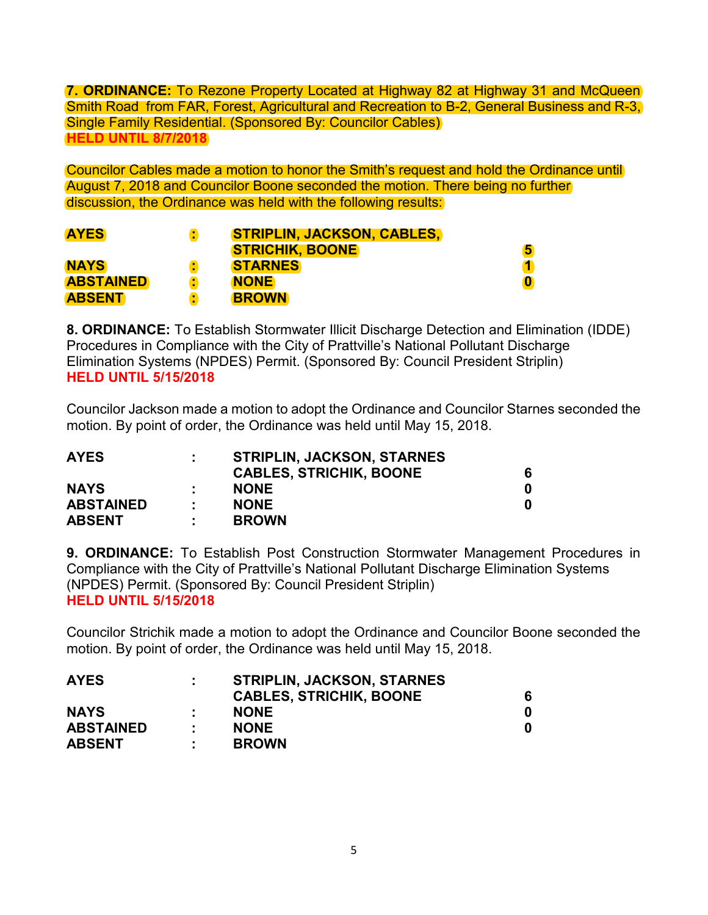**7. ORDINANCE:** To Rezone Property Located at Highway 82 at Highway 31 and McQueen Smith Road from FAR, Forest, Agricultural and Recreation to B-2, General Business and R-3, Single Family Residential. (Sponsored By: Councilor Cables) **HELD UNTIL 8/7/2018** 

Councilor Cables made a motion to honor the Smith's request and hold the Ordinance until August 7, 2018 and Councilor Boone seconded the motion. There being no further discussion, the Ordinance was held with the following results:

| <b>AYES</b>      |   | <b>STRIPLIN, JACKSON, CABLES,</b> |          |
|------------------|---|-----------------------------------|----------|
|                  |   | <b>STRICHIK, BOONE</b>            | 5        |
| <b>NAYS</b>      |   | <b>STARNES</b>                    |          |
| <b>ABSTAINED</b> | t | <b>NONE</b>                       | $\bf{0}$ |
| <b>ABSENT</b>    |   | <b>BROWN</b>                      |          |

**8. ORDINANCE:** To Establish Stormwater Illicit Discharge Detection and Elimination (IDDE) Procedures in Compliance with the City of Prattville's National Pollutant Discharge Elimination Systems (NPDES) Permit. (Sponsored By: Council President Striplin) **HELD UNTIL 5/15/2018** 

Councilor Jackson made a motion to adopt the Ordinance and Councilor Starnes seconded the motion. By point of order, the Ordinance was held until May 15, 2018.

| <b>AYES</b>      |    | <b>STRIPLIN, JACKSON, STARNES</b> |  |
|------------------|----|-----------------------------------|--|
|                  |    | <b>CABLES, STRICHIK, BOONE</b>    |  |
| <b>NAYS</b>      |    | <b>NONE</b>                       |  |
| <b>ABSTAINED</b> |    | <b>NONE</b>                       |  |
| <b>ABSENT</b>    | л. | <b>BROWN</b>                      |  |

**9. ORDINANCE:** To Establish Post Construction Stormwater Management Procedures in Compliance with the City of Prattville's National Pollutant Discharge Elimination Systems (NPDES) Permit. (Sponsored By: Council President Striplin) **HELD UNTIL 5/15/2018** 

Councilor Strichik made a motion to adopt the Ordinance and Councilor Boone seconded the motion. By point of order, the Ordinance was held until May 15, 2018.

| <b>AYES</b>      |    | <b>STRIPLIN, JACKSON, STARNES</b> |  |
|------------------|----|-----------------------------------|--|
|                  |    | <b>CABLES, STRICHIK, BOONE</b>    |  |
| <b>NAYS</b>      |    | <b>NONE</b>                       |  |
| <b>ABSTAINED</b> |    | <b>NONE</b>                       |  |
| <b>ABSENT</b>    | л. | <b>BROWN</b>                      |  |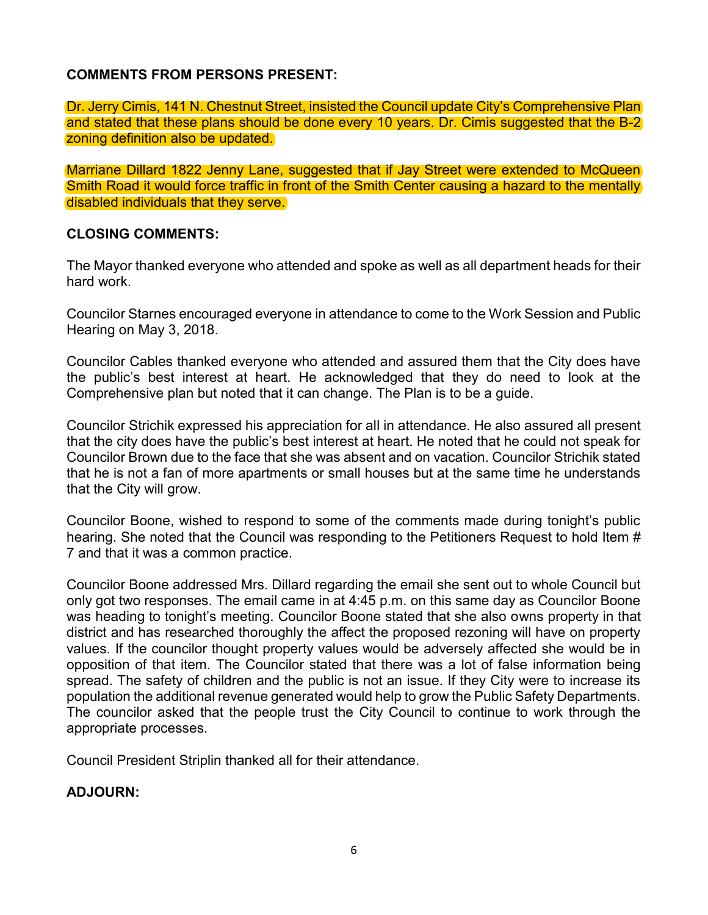## **COMMENTS FROM PERSONS PRESENT:**

Dr. Jerry Cimis, 141 N. Chestnut Street, insisted the Council update City's Comprehensive Plan and stated that these plans should be done every 10 years. Dr. Cimis suggested that the B-2 zoning definition also be updated.

Marriane Dillard 1822 Jenny Lane, suggested that if Jay Street were extended to McQueen Smith Road it would force traffic in front of the Smith Center causing a hazard to the mentally disabled individuals that they serve.

## **CLOSING COMMENTS:**

The Mayor thanked everyone who attended and spoke as well as all department heads for their hard work.

Councilor Starnes encouraged everyone in attendance to come to the Work Session and Public Hearing on May 3, 2018.

Councilor Cables thanked everyone who attended and assured them that the City does have the public's best interest at heart. He acknowledged that they do need to look at the Comprehensive plan but noted that it can change. The Plan is to be a guide.

Councilor Strichik expressed his appreciation for all in attendance. He also assured all present that the city does have the public's best interest at heart. He noted that he could not speak for Councilor Brown due to the face that she was absent and on vacation. Councilor Strichik stated that he is not a fan of more apartments or small houses but at the same time he understands that the City will grow.

Councilor Boone, wished to respond to some of the comments made during tonight's public hearing. She noted that the Council was responding to the Petitioners Request to hold Item # 7 and that it was a common practice.

Councilor Boone addressed Mrs. Dillard regarding the email she sent out to whole Council but only got two responses. The email came in at 4:45 p.m. on this same day as Councilor Boone was heading to tonight's meeting. Councilor Boone stated that she also owns property in that district and has researched thoroughly the affect the proposed rezoning will have on property values. If the councilor thought property values would be adversely affected she would be in opposition of that item. The Councilor stated that there was a lot of false information being spread. The safety of children and the public is not an issue. If they City were to increase its population the additional revenue generated would help to grow the Public Safety Departments. The councilor asked that the people trust the City Council to continue to work through the appropriate processes.

Council President Striplin thanked all for their attendance.

## **ADJOURN:**